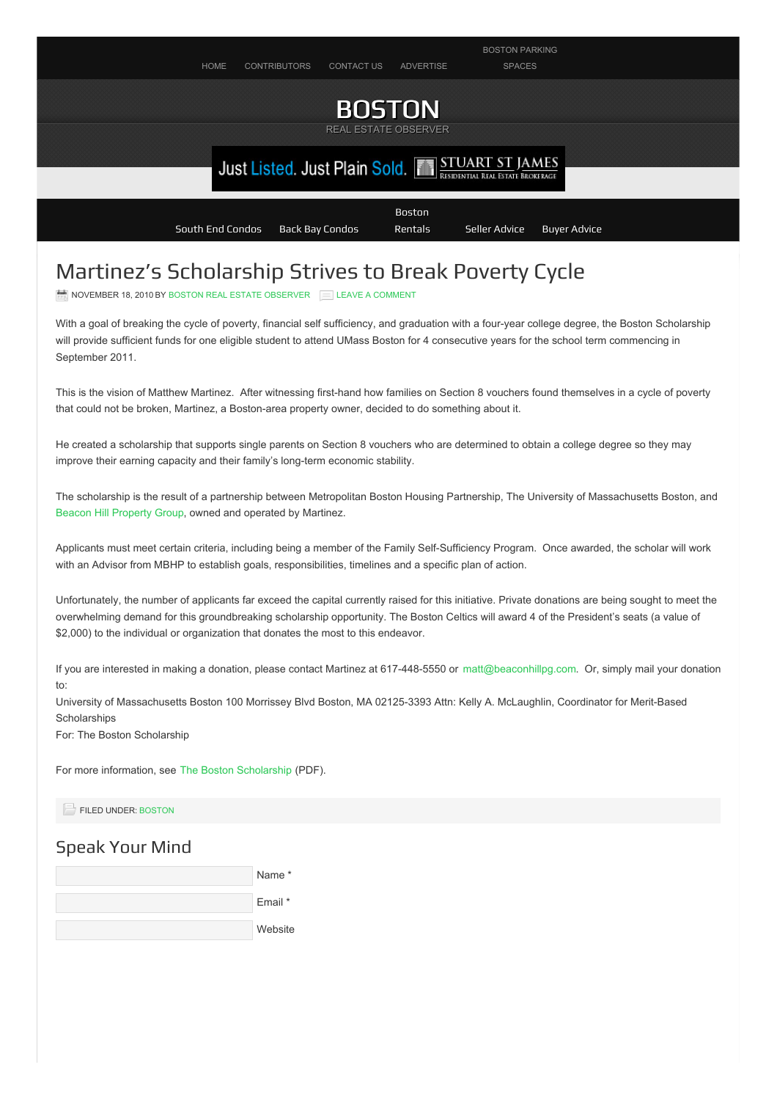

## Martinez's Scholarship Strives to Break Poverty Cycle

NOVEMBER 18, 2010 BY BOSTON REAL ESTATE [OBSERVER](http://bostonrealestateobserver.com/author/chachi/) ENDERGY A [COMMENT](#page-0-0)

With a goal of breaking the cycle of poverty, financial self sufficiency, and graduation with a four-year college degree, the Boston Scholarship will provide sufficient funds for one eligible student to attend UMass Boston for 4 consecutive years for the school term commencing in September 2011.

This is the vision of Matthew Martinez. After witnessing first-hand how families on Section 8 vouchers found themselves in a cycle of poverty that could not be broken, Martinez, a Boston-area property owner, decided to do something about it.

He created a scholarship that supports single parents on Section 8 vouchers who are determined to obtain a college degree so they may improve their earning capacity and their family's long-term economic stability.

The scholarship is the result of a partnership between Metropolitan Boston Housing Partnership, The University of Massachusetts Boston, and Beacon Hill [Property](http://www.beaconhillpg.com) Group, owned and operated by Martinez.

Applicants must meet certain criteria, including being a member of the Family Self-Sufficiency Program. Once awarded, the scholar will work with an Advisor from MBHP to establish goals, responsibilities, timelines and a specific plan of action.

Unfortunately, the number of applicants far exceed the capital currently raised for this initiative. Private donations are being sought to meet the overwhelming demand for this groundbreaking scholarship opportunity. The Boston Celtics will award 4 of the President's seats (a value of \$2,000) to the individual or organization that donates the most to this endeavor.

If you are interested in making a donation, please contact Martinez at 617-448-5550 or [matt@beaconhillpg.com](mailto:matt@beaconhillpg.com). Or, simply mail your donation to:

University of Massachusetts Boston 100 Morrissey Blvd Boston, MA 02125-3393 Attn: Kelly A. McLaughlin, Coordinator for Merit-Based **Scholarships** 

For: The Boston Scholarship

For more information, see The Boston [Scholarship](http://bostonrealestateobserver.com/wp-content/uploads/2010/11/the-boston-scholarship.pdf) (PDF).

FILED UNDER: [BOSTON](http://bostonrealestateobserver.com/category/boston/)

## <span id="page-0-0"></span>Speak Your Mind

| Name <sup>*</sup> |
|-------------------|
| Email *           |
| Website           |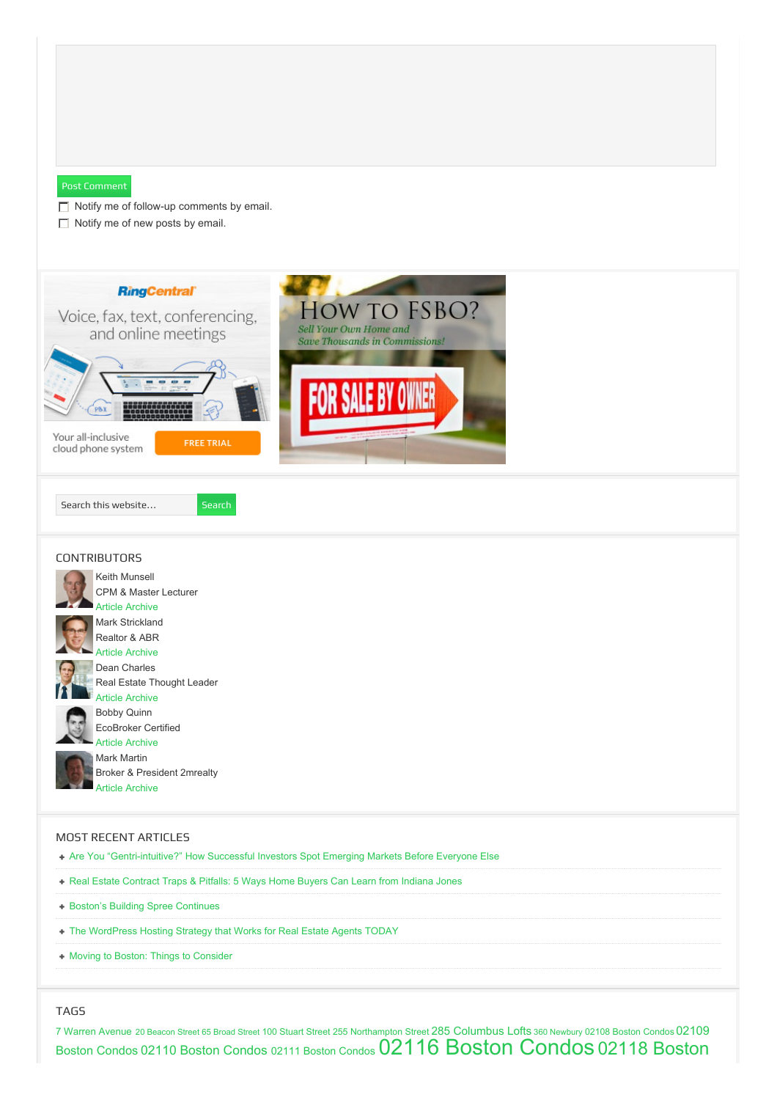<span id="page-1-0"></span>

+ Moving to Boston: Things to [Consider](http://bostonrealestateobserver.com/moving-to-boston-things-to-consider/)

TAGS

7 Warren [Avenue](http://bostonrealestateobserver.com/tag/7-warren-avenue/) <sup>20</sup> [Beacon](http://bostonrealestateobserver.com/tag/20-beacon-street/) Street <sup>65</sup> [Broad](http://bostonrealestateobserver.com/tag/65-broad-street/) Street 100 [Stuart](http://bostonrealestateobserver.com/tag/100-stuart-street/) Street 255 [Northampton](http://bostonrealestateobserver.com/tag/255-northampton-street/) Street 285 [Columbus](http://bostonrealestateobserver.com/tag/285-columbus-lofts/) Lofts <sup>360</sup> [Newbury](http://bostonrealestateobserver.com/tag/360-newbury/) 02108 [Boston](http://bostonrealestateobserver.com/tag/02108-boston-condos/) Condos 02109 Boston Condos <sup>02110</sup> Boston [Condos](http://bostonrealestateobserver.com/tag/02110-boston-condos/) <sup>02111</sup> Boston [Condos](http://bostonrealestateobserver.com/tag/02111-boston-condos/) 02116 Boston [Condo](http://bostonrealestateobserver.com/tag/02116-boston-condos/)[s](http://bostonrealestateobserver.com/tag/02118-boston-condos/) 02118 Boston